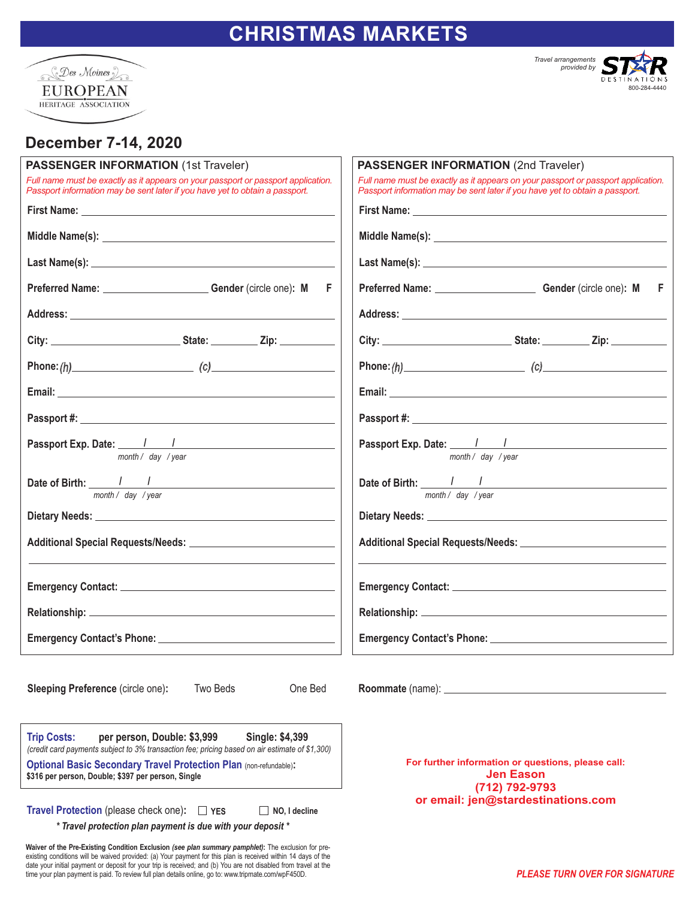## **CHRISTMAS MARKETS**





## **December 7-14, 2020**

date your initial payment or deposit for your trip is received; and (b) You are not disabled from travel at the time your plan payment is paid. To review full plan details online, go to: www.tripmate.com/wpF450D.

| <b>PASSENGER INFORMATION (1st Traveler)</b>                                                                                                                                                                                                                                                              | <b>PASSENGER INFORMATION (2nd Traveler)</b>                                                                                                                       |
|----------------------------------------------------------------------------------------------------------------------------------------------------------------------------------------------------------------------------------------------------------------------------------------------------------|-------------------------------------------------------------------------------------------------------------------------------------------------------------------|
| Full name must be exactly as it appears on your passport or passport application.<br>Passport information may be sent later if you have yet to obtain a passport.                                                                                                                                        | Full name must be exactly as it appears on your passport or passport application.<br>Passport information may be sent later if you have yet to obtain a passport. |
|                                                                                                                                                                                                                                                                                                          |                                                                                                                                                                   |
|                                                                                                                                                                                                                                                                                                          |                                                                                                                                                                   |
|                                                                                                                                                                                                                                                                                                          |                                                                                                                                                                   |
| Preferred Name: Gender (circle one): M F                                                                                                                                                                                                                                                                 |                                                                                                                                                                   |
|                                                                                                                                                                                                                                                                                                          |                                                                                                                                                                   |
|                                                                                                                                                                                                                                                                                                          |                                                                                                                                                                   |
|                                                                                                                                                                                                                                                                                                          |                                                                                                                                                                   |
|                                                                                                                                                                                                                                                                                                          |                                                                                                                                                                   |
|                                                                                                                                                                                                                                                                                                          |                                                                                                                                                                   |
| month / day / year                                                                                                                                                                                                                                                                                       | Passport Exp. Date: 1 1<br>month / day / year                                                                                                                     |
| Date of Birth: $\frac{1}{\frac{1}{\text{month}} \cdot \text{day} / \text{year}}$                                                                                                                                                                                                                         | Date of Birth: $\frac{1}{\frac{1}{\text{month}/\text{day}/\text{year}}}$                                                                                          |
|                                                                                                                                                                                                                                                                                                          |                                                                                                                                                                   |
|                                                                                                                                                                                                                                                                                                          |                                                                                                                                                                   |
|                                                                                                                                                                                                                                                                                                          |                                                                                                                                                                   |
|                                                                                                                                                                                                                                                                                                          |                                                                                                                                                                   |
|                                                                                                                                                                                                                                                                                                          |                                                                                                                                                                   |
| Two Beds<br>One Bed<br><b>Sleeping Preference (circle one):</b>                                                                                                                                                                                                                                          | Roommate (name): _                                                                                                                                                |
| <b>Trip Costs:</b><br>per person, Double: \$3,999<br>Single: \$4,399<br>(credit card payments subject to 3% transaction fee; pricing based on air estimate of \$1,300)<br><b>Optional Basic Secondary Travel Protection Plan (non-refundable):</b><br>\$316 per person, Double; \$397 per person, Single | For further information or questions, please call:<br><b>Jen Eason</b><br>(712) 792-9793                                                                          |
| <b>Travel Protection (please check one):</b><br>$\Box$ YES<br>NO, I decline<br>* Travel protection plan payment is due with your deposit *                                                                                                                                                               | or email: jen@stardestinations.com                                                                                                                                |
| Waiver of the Pre-Existing Condition Exclusion (see plan summary pamphlet): The exclusion for pre-<br>existing conditions will be waived provided: (a) Your payment for this plan is received within 14 days of the                                                                                      |                                                                                                                                                                   |

*PLEASE TURN OVER FOR SIGNATURE*